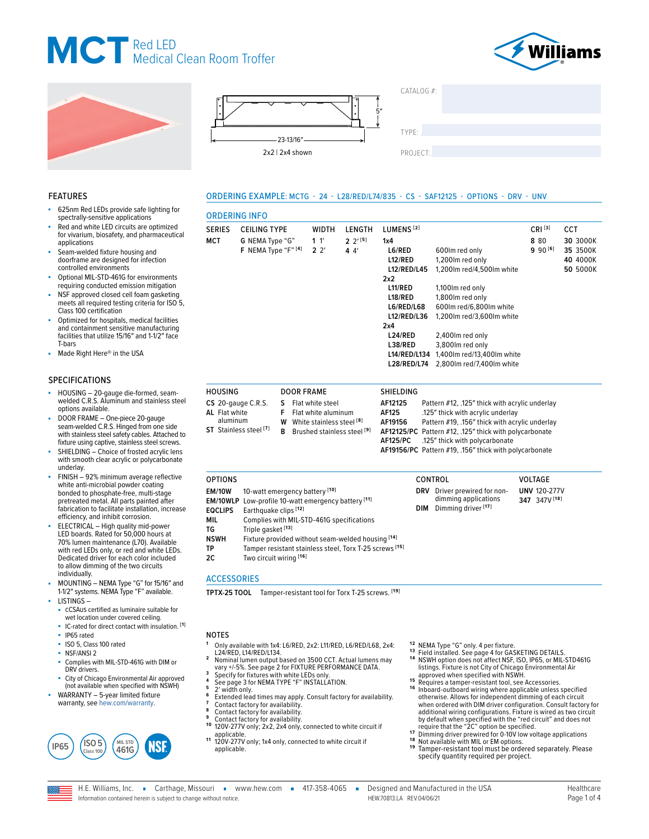



625nm Red LEDs provide safe lighting for spectrally-sensitive applications Red and white LED circuits are optimized for vivarium, biosafety, and pharmaceutical

Optional MIL-STD-461G for environments requiring conducted emission mitigation NSF approved closed cell foam gasketing meets all required testing criteria for ISO 5,

Optimized for hospitals, medical facilities and containment sensitive manufacturing facilities that utilize 15/16″ and 1-1/2″ face

■ HOUSING – 20-gauge die-formed, seam-welded C.R.S. Aluminum and stainless steel

FINISH - 92% minimum average reflective white anti-microbial powder coating bonded to phosphate-free, multi-stage pretreated metal. All parts painted after fabrication to facilitate installation, increase efficiency, and inhibit corrosion. ELECTRICAL – High quality mid-power LED boards. Rated for 50,000 hours at 70% lumen maintenance (L70). Available with red LEDs only, or red and white LEDs. Dedicated driver for each color included to allow dimming of the two circuits

■ DOOR FRAME – One-piece 20-gauge seam-welded C.R.S. Hinged from one side with stainless steel safety cables. Attached to fixture using captive, stainless steel screws. SHIELDING – Choice of frosted acrylic lens with smooth clear acrylic or polycarbonate

Seam-welded fixture housing and doorframe are designed for infection controlled environments

Class 100 certification

Made Right Here® in the USA

FEATURES

applications

T-bars

SPECIFICATIONS

options available.

underlay.



 $CATAI OG #<sup>2</sup>$ 

TYPE: ����������������������������������������������������

PROJECT:

### ORDERING EXAMPLE: MCTG - 24 - L28/RED/L74/835 - CS - SAF12125 - OPTIONS - DRV - UNV

### ORDERING INFO

| <b>SERIES</b>  | <b>CEILING TYPE</b> |    | <b>WIDTH</b>        | LENGTH   | LUMENS <sup>[2]</sup> |                                                | $CRI^{[3]}$ | <b>CCT</b> |
|----------------|---------------------|----|---------------------|----------|-----------------------|------------------------------------------------|-------------|------------|
| <b>MCT</b>     | G NEMA Type "G"     |    | 11'                 | $2^{15}$ | 1x4                   |                                                | 8 8 0       | 30 3000K   |
|                | F NEMA Type "F" [4] |    | $2^{\prime}$        | 44'      | L6/RED                | 600lm red only                                 | $990^{[6]}$ | 35 3500K   |
|                |                     |    |                     |          | L12/RED               | 1,200 lm red only                              |             | 40 4000K   |
|                |                     |    |                     |          | L12/RED/L45           | 1,200 lm red/4,500 lm white                    |             | 50 5000K   |
|                |                     |    |                     |          | 2x2                   |                                                |             |            |
|                |                     |    |                     |          | L11/RED               | 1,100 lm red only                              |             |            |
|                |                     |    |                     |          | L18/RED               | 1,800 lm red only                              |             |            |
|                |                     |    |                     |          | L6/RED/L68            | 600lm red/6.800lm white                        |             |            |
|                |                     |    |                     |          | L12/RED/L36           | 1,200 lm red/3,600 lm white                    |             |            |
|                |                     |    |                     |          | 2x4                   |                                                |             |            |
|                |                     |    |                     |          | L24/RED               | 2,400 lm red only                              |             |            |
|                |                     |    |                     |          | L38/RED               | 3,800 lm red only                              |             |            |
|                |                     |    |                     |          | L14/RED/L134          | 1,400 lm red/13,400 lm white                   |             |            |
|                |                     |    |                     |          | <b>L28/RED/L74</b>    | 2,800lm red/7,400lm white                      |             |            |
| <b>HOUSING</b> |                     |    | <b>DOOR FRAME</b>   |          | <b>SHIELDING</b>      |                                                |             |            |
|                | CS 20-gauge C.R.S.  | S. | Flat white steel    |          | AF12125               | Pattern #12, .125" thick with acrylic underlay |             |            |
| Al Flat white  |                     | F  | Elat white aluminum |          | <b>AF125</b>          | 125" thick with acrylic underlay               |             |            |

**AL** Flat white aluminum **ST** Stainless steel **[7] W** White stainless steel **[8] B** Brushed stainless steel **[9]**

| AF12125  | Pattern #12, .125" thick with acrylic underlay         |
|----------|--------------------------------------------------------|
| AF125    | .125" thick with acrylic underlay                      |
| AF19156  | Pattern #19, .156" thick with acrylic underlay         |
|          | AF12125/PC Pattern #12, .125" thick with polycarbonate |
| AF125/PC | .125" thick with polycarbonate                         |
|          | AF19156/PC Pattern #19, .156" thick with polycarbonate |

OPTIONS CONTROL VOLTAGE **EM/10W** 10-watt emergency battery **[10] EM/10WLP** Low-profile 10-watt emergency battery **[11] EQCLIPS** Earthquake clips **[12] MIL** Complies with MIL-STD-461G specifications **TG** Triple gasket **[13] NSWH** Fixture provided without seam-welded housing **[14] TP** Tamper resistant stainless steel, Torx T-25 screws <sup>[15]</sup><br>2C Two circuit wiring <sup>[16]</sup> **2C** Two circuit wiring **[16] DRV** Driver prewired for nondimming applications **DIM** Dimming driver **[17] UNV** 120-277V **347** 347V **[18]**

### ACCESSORIES

**TPTX-25 TOOL** Tamper-resistant tool for Torx T-25 screws. **[19]**

#### ■ MOUNTING – NEMA Type "G" for 15/16″ and 1-1/2″ systems. NEMA Type "F" available. LISTINGS – cCSAus certified as luminaire suitable for wet location under covered ceiling.

- IC-rated for direct contact with insulation. **[1]**
- IP65 rated
- ISO 5, Class 100 rated
- NSF/ANSI 2

individually.

- Complies with MIL-STD-461G with DIM or DRV drivers.
- City of Chicago Environmental Air approved (not available when specified with NSWH)
- WARRANTY 5-year limited fixture warranty, see [hew.com/warranty.](https://www.hew.com/resources/warranty-and-terms)



### NOTES

- **<sup>1</sup>** Only available with 1x4: L6/RED, 2x2: L11/RED, L6/RED/L68, 2x4:
- Nominal lumen output based on 3500 CCT. Actual lumens may<br>vary +/-5%. See page 2 for FIXTURE PERFORMANCE DATA.<br>Specify for fixtures with white LEDs only.
- 
- 
- 
- 
- 
- a correlate the property of the UEDs only.<br>
The Specify for fixtures with white LEDs only.<br>
A [See page 3 for NEMA TYPE "F" INSTALLATION.](#page-2-0)<br>
F Extended led times may apply. Consult factory for availability.<br>
F Contact factory
- applicable. **1 1** 120V-277V only; 1x4 only, connected to white circuit if applicable.
- 
- **12** NEMA Type "G" only. 4 per fixture.<br><sup>13</sup> Field installed. [See page 4 for GASKETING DETAILS.](#page-3-0)<br><sup>14</sup> NSWH option does not affect NSF, ISO, IP65, or MIL-STD461G
- listings. Fixture is not City of Chicago Environmental Air<br>approved when specified with NSWH.<br><sup>15</sup> Requires a tamper-resistant tool, see Accessories.<br><sup>16</sup> Inboard-outboard wiring where applicable unless specified otherwise. Allows for independent dimming of each circuit when ordered with DIM driver configuration. Consult factory for additional wiring configurations. Fixture is wired as two circuit by default when specified with the "red circuit" and does not
- require that the "2C" option be specified.<br>
17<br>
Dimming driver prewired for 0-10V low voltage applications<br>
<sup>18</sup> Not available with MIL or EM options.<br>
<sup>18</sup> Tamper-resistant tool must be ordered separately. Please
- specify quantity required per project.

Information contained herein is subject to change without notice.

H.E. Williams, Inc. Garthage, Missouri = www.hew.com = 417-358-4065 = Designed and Manufactured in the USA HEW.70813.LA REV.04/06/21 Page 1 of 4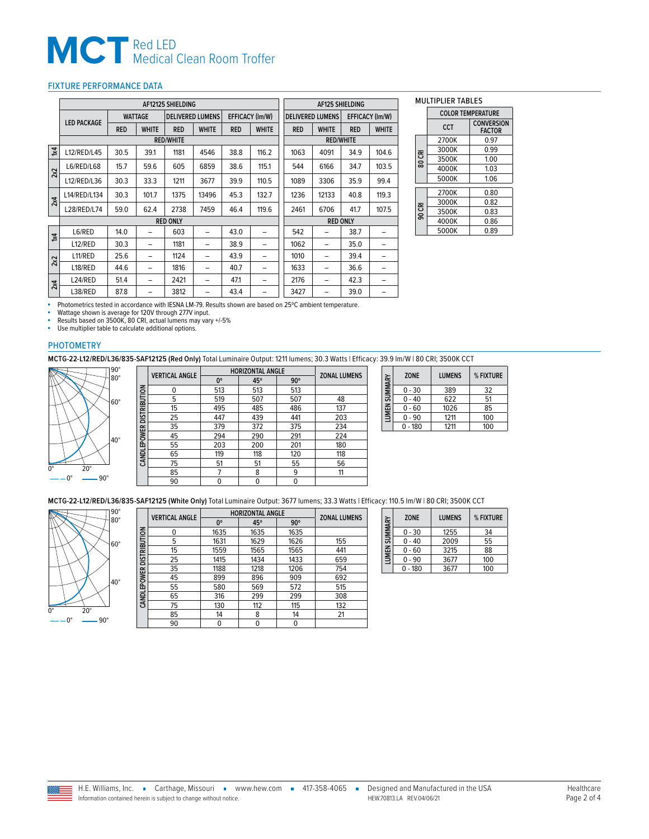### <span id="page-1-0"></span>FIXTURE PERFORMANCE DATA

|                         | AF12125 SHIELDING  |            |                |                  |                         |            |                        | <b>AF125 SHIELDING</b> |                         |            |                        |
|-------------------------|--------------------|------------|----------------|------------------|-------------------------|------------|------------------------|------------------------|-------------------------|------------|------------------------|
|                         |                    |            | <b>WATTAGE</b> |                  | <b>DELIVERED LUMENS</b> |            | <b>EFFICACY (Im/W)</b> |                        | <b>DELIVERED LUMENS</b> |            | <b>EFFICACY (Im/W)</b> |
|                         | <b>LED PACKAGE</b> | <b>RED</b> | <b>WHITE</b>   | <b>RED</b>       | <b>WHITE</b>            | <b>RED</b> | <b>WHITE</b>           | <b>RED</b>             | <b>WHITE</b>            | <b>RED</b> | <b>WHITE</b>           |
|                         |                    |            |                | <b>RED/WHITE</b> |                         |            |                        |                        | <b>RED/WHITE</b>        |            |                        |
| $\overline{\mathbf{x}}$ | L12/RED/L45        | 30.5       | 39.1           | 1181             | 4546                    | 38.8       | 116.2                  | 1063                   | 4091                    | 34.9       | 104.6                  |
| 2x2                     | L6/RED/L68         | 15.7       | 59.6           | 605              | 6859                    | 38.6       | 115.1                  | 544                    | 6166                    | 34.7       | 103.5                  |
|                         | L12/RED/L36        | 30.3       | 33.3           | 1211             | 3677                    | 39.9       | 110.5                  | 1089                   | 3306                    | 35.9       | 99.4                   |
| 2x4                     | L14/RED/L134       | 30.3       | 101.7          | 1375             | 13496                   | 45.3       | 132.7                  | 1236                   | 12133                   | 40.8       | 119.3                  |
|                         | L28/RED/L74        | 59.0       | 62.4           | 2738             | 7459                    | 46.4       | 119.6                  | 2461                   | 6706                    | 41.7       | 107.5                  |
|                         |                    |            |                | <b>RED ONLY</b>  |                         |            |                        |                        | <b>RED ONLY</b>         |            |                        |
| $\overline{\mathbf{z}}$ | L6/RED             | 14.0       |                | 603              | -                       | 43.0       | -                      | 542                    |                         | 38.7       |                        |
|                         | L12/RED            | 30.3       | -              | 1181             | -                       | 38.9       | -                      | 1062                   | -                       | 35.0       |                        |
| 2x2                     | L11/RED            | 25.6       | -              | 1124             | -                       | 43.9       | -                      | 1010                   | -                       | 39.4       |                        |
|                         | L18/RED            | 44.6       | -              | 1816             | -                       | 40.7       |                        | 1633                   | -                       | 36.6       |                        |
| 2x4                     | L24/RED            | 51.4       | -              | 2421             | -                       | 47.1       | -                      | 2176                   | -                       | 42.3       |                        |
|                         | L38/RED            | 87.8       |                | 3812             |                         | 43.4       | -                      | 3427                   |                         | 39.0       |                        |

#### MULTIPLIER TABLES

|        | <b>COLOR TEMPERATURE</b> |                                    |  |  |  |  |
|--------|--------------------------|------------------------------------|--|--|--|--|
|        | <b>CCT</b>               | <b>CONVERSION</b><br><b>FACTOR</b> |  |  |  |  |
|        | 2700K                    | 0.97                               |  |  |  |  |
|        | 3000K                    | 0.99                               |  |  |  |  |
| 80 CRI | 3500K                    | 1.00                               |  |  |  |  |
|        | 4000K                    | 1.03                               |  |  |  |  |
|        | 5000K                    | 1.06                               |  |  |  |  |
|        |                          |                                    |  |  |  |  |
|        | 2700K                    | 0.80                               |  |  |  |  |
|        | 3000K                    | 0.82                               |  |  |  |  |
| 90 CRI | 3500K                    | 0.83                               |  |  |  |  |
|        | 4000K                    | 0.86                               |  |  |  |  |
|        | 5000K                    | 0.89                               |  |  |  |  |

■ Photometrics tested in accordance with IESNA LM-79. Results shown are based on 25°C ambient temperature.

■ Wattage shown is average for 120V through 277V input.<br>■ Results based on 3500K, 80 CRI, actual lumens may vary +/-5%<br>■ Use multiplier table to calculate additional options.

### PHOTOMETRY

**MCTG-22-L12/RED/L36/835-SAF12125 (Red Only)** Total Luminaire Output: 1211 lumens; 30.3 Watts | Efficacy: 39.9 lm/W | 80 CRI; 3500K CCT ┑  $\Box$ 



|                          | <b>VERTICAL ANGLE</b> | <b>HORIZONTAL ANGLE</b> | <b>ZONAL LUMENS</b> |            |     |
|--------------------------|-----------------------|-------------------------|---------------------|------------|-----|
|                          |                       | 0°                      | 45°                 | $90^\circ$ |     |
| CANDLEPOWER DISTRIBUTION | $\mathbf{0}$          | 513                     | 513                 | 513        |     |
|                          | 5                     | 519                     | 507                 | 507        | 48  |
|                          | 15                    | 495                     | 485                 | 486        | 137 |
|                          | 25                    | 447                     | 439                 | 441        | 203 |
|                          | 35                    | 379                     | 372                 | 375        | 234 |
|                          | 45                    | 294                     | 290                 | 291        | 224 |
|                          | 55                    | 203                     | 200                 | 201        | 180 |
|                          | 65                    | 119                     | 118                 | 120        | 118 |
|                          | 75                    | 51                      | 51                  | 55         | 56  |
|                          | 85                    |                         | 8                   | 9          | 11  |
|                          | 90                    | 0                       | 0                   | 0          |     |
|                          |                       |                         |                     |            |     |

| LUMEN SUMMARY | <b>ZONE</b> | <b>LUMENS</b> | % FIXTURE |
|---------------|-------------|---------------|-----------|
|               | $0 - 30$    | 389           | 32        |
|               | 0 - 40      | 622           | 51        |
|               | $0 - 60$    | 1026          | 85        |
|               | $0 - 90$    | 1211          | 100       |
|               | $-180$      | 1211          | 100       |

**MCTG-22-L12/RED/L36/835-SAF12125 (White Only)** Total Luminaire Output: 3677 lumens; 33.3 Watts | Efficacy: 110.5 lm/W | 80 CRI; 3500K CCT



|                          | <b>VERTICAL ANGLE</b> | <b>HORIZONTAL ANGLE</b> | <b>ZONAL LUMENS</b> |            |     |
|--------------------------|-----------------------|-------------------------|---------------------|------------|-----|
|                          |                       | 0°                      | 45°                 | $90^\circ$ |     |
| CANDLEPOWER DISTRIBUTION | 0                     | 1635                    | 1635                | 1635       |     |
|                          | 5                     | 1631                    | 1629                | 1626       | 155 |
|                          | 15                    | 1559                    | 1565                | 1565       | 441 |
|                          | 25                    | 1415                    | 1434                | 1433       | 659 |
|                          | 35                    | 1188                    | 1218                | 1206       | 754 |
|                          | 45                    | 899                     | 896                 | 909        | 692 |
|                          | 55                    | 580                     | 569                 | 572        | 515 |
|                          | 65                    | 316                     | 299                 | 299        | 308 |
|                          | 75                    | 130                     | 112                 | 115        | 132 |
|                          | 85                    | 14                      | 8                   | 14         | 21  |
|                          | 90                    | 0                       | 0                   | 0          |     |

| LUMEN SUMMARY | <b>ZONE</b> | <b>LUMENS</b> | % FIXTURE |
|---------------|-------------|---------------|-----------|
|               | $0 - 30$    | 1255          | 34        |
|               | $0 - 40$    | 2009          | 55        |
|               | 0 - 60      | 3215          | 88        |
|               | $0 - 90$    | 3677          | 100       |
|               | $0 - 180$   | 3677          | 100       |

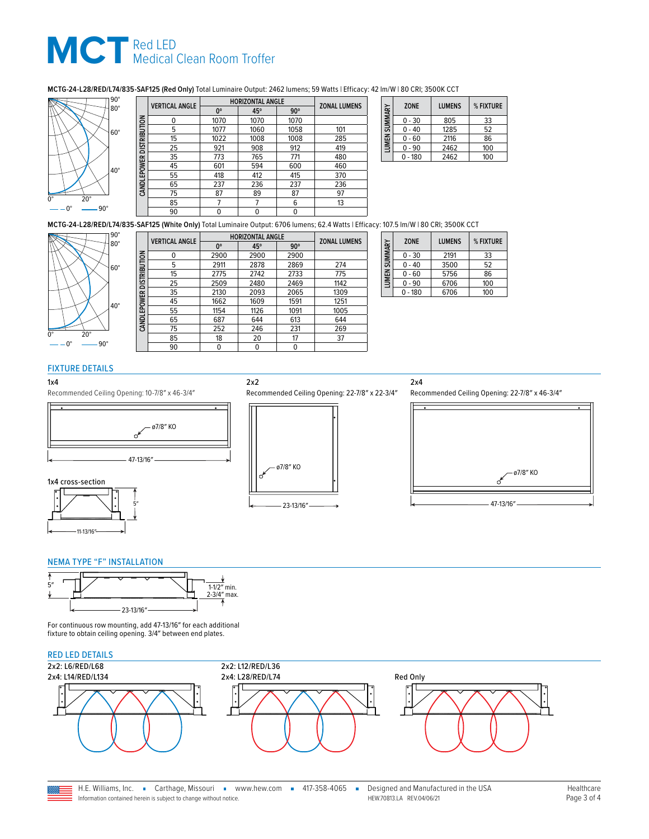### **MCTG-24-L28/RED/L74/835-SAF125 (Red Only)** Total Luminaire Output: 2462 lumens; 59 Watts | Efficacy: 42 lm/W | 80 CRI; 3500K CCT



|                           | <b>VERTICAL ANGLE</b> | <b>HORIZONTAL ANGLE</b> | <b>ZONAL LUMENS</b> |            |     |
|---------------------------|-----------------------|-------------------------|---------------------|------------|-----|
|                           |                       | 0°                      | 45°                 | $90^\circ$ |     |
|                           | n                     | 1070                    | 1070                | 1070       |     |
|                           | 5                     | 1077                    | 1060                | 1058       | 101 |
| CAND LEPOWER DISTRIBUTION | 15                    | 1022                    | 1008                | 1008       | 285 |
|                           | 25                    | 921                     | 908                 | 912        | 419 |
|                           | 35                    | 773                     | 765                 | 771        | 480 |
|                           | 45                    | 601                     | 594                 | 600        | 460 |
|                           | 55                    | 418                     | 412                 | 415        | 370 |
|                           | 65                    | 237                     | 236                 | 237        | 236 |
|                           | 75                    | 87                      | 89                  | 87         | 97  |
|                           | 85                    |                         |                     | 6          | 13  |
|                           | 90                    | 0                       |                     | 0          |     |

| SUMMARY            | <b>ZONE</b> | <b>LUMENS</b> | % FIXTURE |
|--------------------|-------------|---------------|-----------|
|                    | $0 - 30$    | 805           | 33        |
|                    | - 40        | 1285          | 52        |
| LUMEN <sub>3</sub> | $-60$       | 2116          | 86        |
|                    | - 90        | 2462          | 100       |
|                    | - 180       | 2462          | 100       |

**MCTG-24-L28/RED/L74/835-SAF125 (White Only)** Total Luminaire Output: 6706 lumens; 62.4 Watts | Efficacy: 107.5 lm/W | 80 CRI; 3500K CCT



|                          | <b>VERTICAL ANGLE</b> | <b>HORIZONTAL ANGLE</b> |      |            |                     |
|--------------------------|-----------------------|-------------------------|------|------------|---------------------|
|                          |                       | 0°                      | 45°  | $90^\circ$ | <b>ZONAL LUMENS</b> |
| CANDLEPOWER DISTRIBUTION | 0                     | 2900                    | 2900 | 2900       |                     |
|                          | 5                     | 2911                    | 2878 | 2869       | 274                 |
|                          | 15                    | 2775                    | 2742 | 2733       | 775                 |
|                          | 25                    | 2509                    | 2480 | 2469       | 1142                |
|                          | 35                    | 2130                    | 2093 | 2065       | 1309                |
|                          | 45                    | 1662                    | 1609 | 1591       | 1251                |
|                          | 55                    | 1154                    | 1126 | 1091       | 1005                |
|                          | 65                    | 687                     | 644  | 613        | 644                 |
|                          | 75                    | 252                     | 246  | 231        | 269                 |
|                          | 85                    | 18                      | 20   | 17         | 37                  |
|                          | 90                    | 0                       | 0    | 0          |                     |
|                          |                       |                         |      |            |                     |

2x2

| LUMEN SUMMARY | <b>ZONE</b> | <b>LUMENS</b> | % FIXTURE |
|---------------|-------------|---------------|-----------|
|               | $0 - 30$    | 2191          | 33        |
|               | $0 - 40$    | 3500          | 52        |
|               | $0 - 60$    | 5756          | 86        |
|               | $0 - 90$    | 6706          | 100       |
|               | $0 - 180$   | 6706          | 100       |

### FIXTURE DETAILS

#### 1x4

Recommended Ceiling Opening: 10-7/8″ x 46-3/4″







Recommended Ceiling Opening: 22-7/8″ x 22-3/4″

### 2x4

Recommended Ceiling Opening: 22-7/8″ x 46-3/4″



### <span id="page-2-0"></span>NEMA TYPE "F" INSTALLATION



For continuous row mounting, add 47-13/16″ for each additional fixture to obtain ceiling opening. 3/4″ between end plates.



Information contained herein is subject to change without notice.

HEW.70813.LA REV.04/06/21